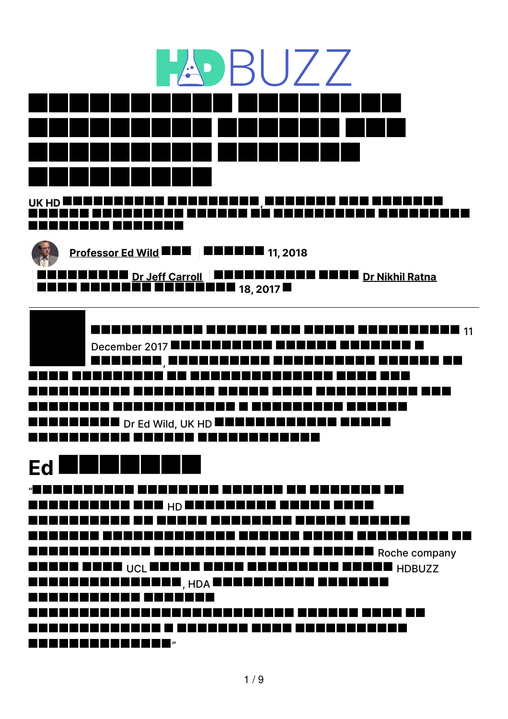

. . . . . . . . . .

**[Professor](https://te.hdbuzz.net/people/Ed%20Wild) Ed Wild 11, 2018**

**Dr Jeff [Carroll](https://te.hdbuzz.net/people/Jeff%20Carroll) Dr Nikhil [Ratna](https://te.hdbuzz.net/people/Nikhil%20Ratna) 18, 2017**

**THEREEREER ERRICH ERE ERRER BEREIKERE**  $_{11}$ December 2017 **EDERER ERER ER EN BERGE** , I B B B B B B B B a katika Ma TE E E E E LEEEEEE  $_{\rm Dr}$  Ed Wild, UK HD EEEEEEE <u>. . . . . . . . .</u> <u> 2000 - 2000 - 2000 - 2000 - 2000 - 2000 - 2000 - 2000 - 2000 - 2000 - 2000 - 2000 - 2000 - 2000 - 2000 - 2000 - 2000 - 2000 - 2000 - 2000 - 2000 - 2000 - 2000 - 2000 - 2000 - 2000 - 2000 - 2000 - 2000 - 2000 - 2000 - 200</u>

# **Ed**

" T E L <u>. . . . . . . .</u> . HARRERENE HER HORSENENE HEREN HERE \_\_\_\_\_\_\_\_\_\_\_\_\_\_\_\_\_\_\_\_\_\_\_\_\_\_\_ IN NAMA BERKERAK BE RANNENNENN BENNENNENNEN BENNEN Roche company IEEE EEEE <sub>UCL</sub> EEEE EEEE EEEEEEEEE EEEEE <sub>HDBUZZ</sub> , HDA 

"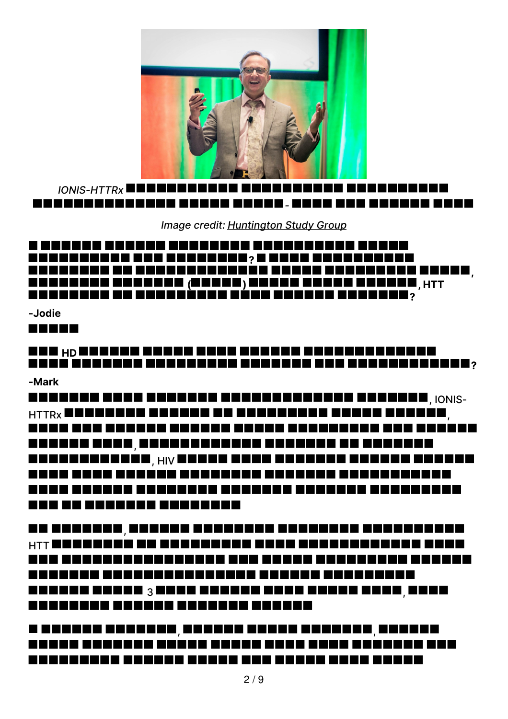

*IONIS-HTTRx -*

*Image credit: [Huntington](http://huntingtonstudygroup.org) Study Group*

# **? , (A ) ) ) (A ) (A ) (A ) (A ) (A ) (A ) (A ) (A ) (A ) (A ) (A ) (A ) (A ) (A ) (A** ) <u>PRESEREN EN BEREÈREN BÉRE ERKEIN BERKERE?</u>

**-Jodie**

**REBED** 

# **HD ?**

**-Mark**

, IONIS-<sub>HTTRx</sub> Bebeseed anders an andersale and and anders <sub>,</sub><br>Bebe and annon anders ander andersale and anders <u>unuan anan, nananananana ananan an ananan</u> <u>wa na mana mata wa kata ya kata ya kata wa mana mwaka wa Mara na matao wa Mara na Mara na Mara na Mara na Mara na Ma</u> <u> KANA KANA KANAKA KURUNGEN KURUNGHANG KANAKAN MANGUNAKAN MANGUNAKAN MANGUNAKAN MANGUNAKAN MANGUNAKAN MANGUNAKAN MANGUNAKAN MANGUNAKAN MANGUNAKAN MANGUNAKAN MANGUNAKAN MANGUNAKAN MANGUNAKAN MANGUNAKAN MANGUNAKAN MANGUNAKAN</u> \_\_\_\_\_\_\_\_\_\_\_\_\_\_\_\_\_\_\_\_

<u>ua nosenea, especia especial especial especialida</u> HTT MENSENDEN DE REBESSEND BEKE HENSENBERDEN BREK 3 , <u> 2000 - 2000 - 2000 - 2000 - 2000 - 2000 - 2000 - 2000 - 2000 - 2000 - 2000 - 2000 - 2000 - 2000 - 2000 - 200</u>

<u>, andese beseese, koosee besee beseese, besees</u> <u> KABAA KUBANDE KUBAN KUBAN KUBA KUBAN KUBAN</u>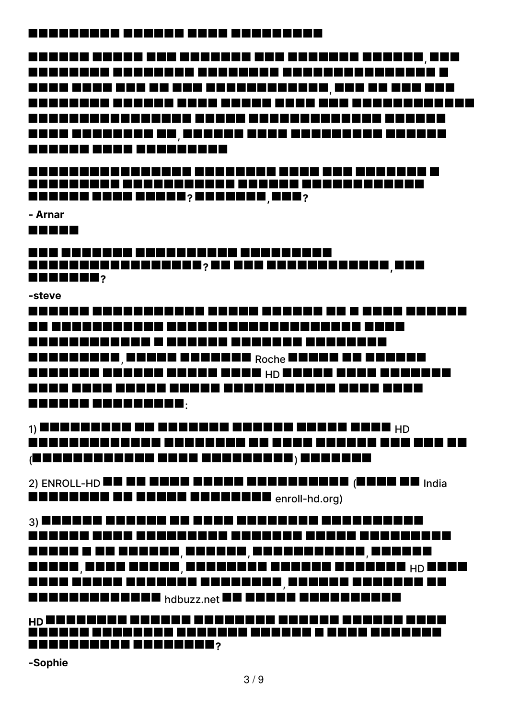### <u> KABABARAN KABABA KERA KERAKARAN</u>

, , <u> KARAKANA KAKARA KAKA KAKAR KAKA KAKARAKANAN KA</u> <u>unua ununuana na janggun pada kananggun padang</u> -------------------

**? , ?**

**- Arnar**

**REBEC** 

<u>MAN ANAKANA ANAKANANAN ANAKANAN</u> **? , RRANER**?

**-steve**

<u> KARAKA KURUKURUKAN KAKAR KARAKA KA KARAK KAKARA</u> <u> KABABARAHAN KABABAR KABABAR KABABAR </u> ENERENEN ENERE ENERGIE Roche ENERGIE EN ENERGI MANAHAN MANAHAN MUNTUK ANG HOMO ANG KANAHAN <u>MANA KANA KANAK KANAK ANUKAN MULA KANAK ANAK </u> **ERRER ERRERERE.** 

 $_1$ ) Bonnessen de Enersen Henese Eners Ener  $_{\rm HD}$ <u> KARAKARAKARA KARAKARA DA KARA KURULA KAK KAK KA</u>  $\overline{A}$  december and a conceller  $\overline{A}$  , and a conceller  $\overline{A}$ 

2) ENROLL-HD **die die begin der der der der eine der in**dia enrollen en de en de en de en de en de en de la lang

 $_3$ ) because expect on executive expect expected. <u> KARAKA KARA KERAKARAN BERBERA BERBERAKAN BERBERAKAN DIARA BERBERAKAN DIARA BERBERAKAN DIARA BERBERAKAN DIARA BERBERAKAN DIARA BERBERAKAN DIARA BERBERAKAN DIARA BERBERAKAN DIARA BERBERAKAN DIARA BERBERAKAN DIARA BERBERAKA</u> , we call  $\blacksquare$  , we call the call  $\blacksquare$ , , HD , **hadeeeeer article and the second contract of the second second second second second second second second second** 

# **HD PRESERVED BERRIERS**

**-Sophie**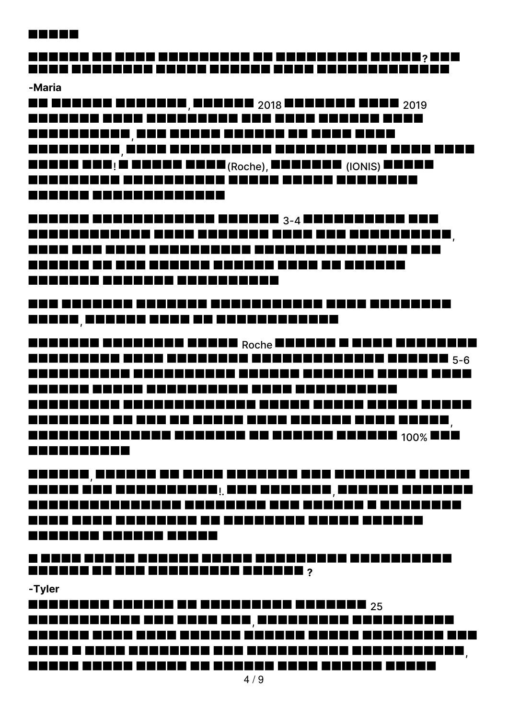#### **BERBE**

# **?**

#### **-Maria**

**RE REERE BEREER, BEREER 2018 EERDER EERD** 2019 A BARA DA BARA DA BARA DA BARA DA BARA DA BARA DA BARA DA BARA DA BARA DA BARA DA BARA DA BARA DA BARA DA BARA <u>AABAABAADA, BAA ABAADA BAADADA AH ABAA ABAA</u> , ENNE ENE; È ENNE ENEL (<sub>Roche</sub>), ENELEZ (IONIS) ENELE<br>ENELLEZI ENELLEZIE ENELE ENELE ENELLE ------------------

EEEEEE EEEEEEEEEEE EEEEEE 3-4 EEEEEEEEE EEE , NAKA KAN KANA KERAKANAN KERAKANAN KERAKAN PRO \_\_\_\_\_\_\_\_\_\_\_\_\_\_\_\_\_\_\_\_\_\_\_\_\_\_\_\_\_\_\_\_\_\_\_ \_\_\_\_\_\_\_\_\_\_\_\_\_\_\_\_\_\_\_\_\_\_\_\_

# <u>kan kananga angguna ngganggung ang kanangang</u> <u> 2000a - 2000a - 2000 00 0000000000000</u>

ROCHER BEROKEN BEROK <sub>Roche</sub> Bennen E Benn Bennenn 5-6 <u>MANUAL UNUNG KANGHANGAN KUNA KUNANGANGAN</u> , **ENERGE BERGER BERGER ER EREKE REKER 100% BER** ----------

, <u>. 2000a 100 2000a 2000a | 200 2000a | 2000a | 2000a | 2000a</u> ------- ------ -----

## <u>n nana nanan ananan anana anananan ananananan</u> **REBERE DE BES DESSERES ENDRES** ?

#### **-Tyler**

**EXECUTES EXECUTE AS EXECUTES EXECUTE**  $25$ , <u>MANUAN KURA KURA KURUNG KURUNG KURA KURUNGAN KUR</u> ,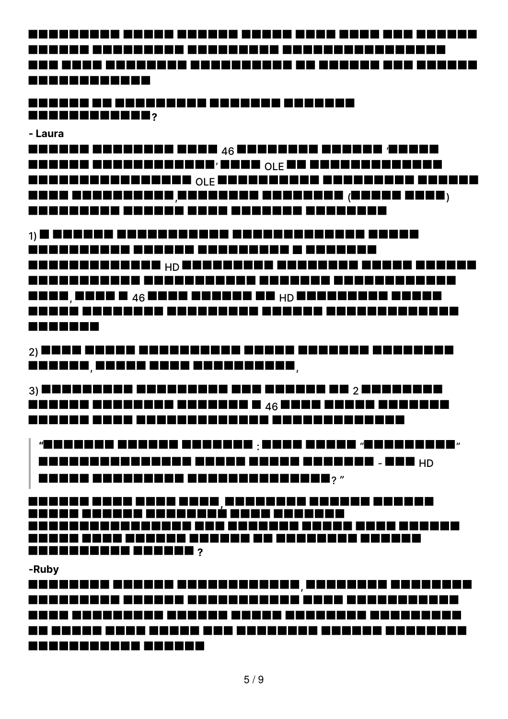<u>MUNUMUNI KUKUA KUKUM KUKUM KUKU KUKU KUK KUKUM</u> <u>naa aana aanaanaa aanaanaanaa aa aanaan aha aanaan</u> -----------

<u> 2000an de escada de escada especia</u> **?**

**- Laura**

E E E E E E E E E E E E E E E E E  $46$  E E E E E E E E E E E E E  $\cdot$  E E E E  $\cdot$ ' OLE <u> BEBEERS EERSTE OLE BEBEERSEER BEBEERSE BEBEER</u> , **---- --------- -------- -------** ----- ---- ----<u>MANAHANAN KUMUMUN KANA MANAHAN MANAHAN</u>

 $_1$ ) in the same and a sequence and a sequence of  $\blacksquare$ <u> 2000 - 2000 - 2000 - 2000 - 2000 - 2000 - 2000 - 2000 - 2000 - 2000 - 2000 - 2000 - 2000 - 2000 - 2000 - 2000 - 2000 - 2000 - 2000 - 2000 - 2000 - 2000 - 2000 - 2000 - 2000 - 2000 - 2000 - 2000 - 2000 - 2000 - 2000 - 200</u> HARRAHARAKAN HORAKARKAN ARAKARKAN HARRAKA , and a second  $\Delta G$  , and a second behavior to the second second  $\Delta G$ <u>MANUM MUNUMUNG KUMUMUNG KANAHA KUMUMUHANG PA</u> **REBEER** 

 $_2$ ) benu benua benuanyakan benuanyak benuanya **,,,,,,,,,,,,,,,,,,,,,,,,,,,** 

 $_3$ ) beheeless exceeded and exceed as  $_2$  beheeles EEEEEE EEEEEEE EEEEEE E <sub>46</sub> EEEE EEEEE EEEEEE 

**"** : " " - HD ? *"*

**, READERED BEERE**,

#### **-Ruby**

, <u> KARAKARAK AKARAK ARBARAKARA AKAR AKARAKARAKA</u> <u>na nanan sana sanan san nananan sanana sananana</u> ------------ ------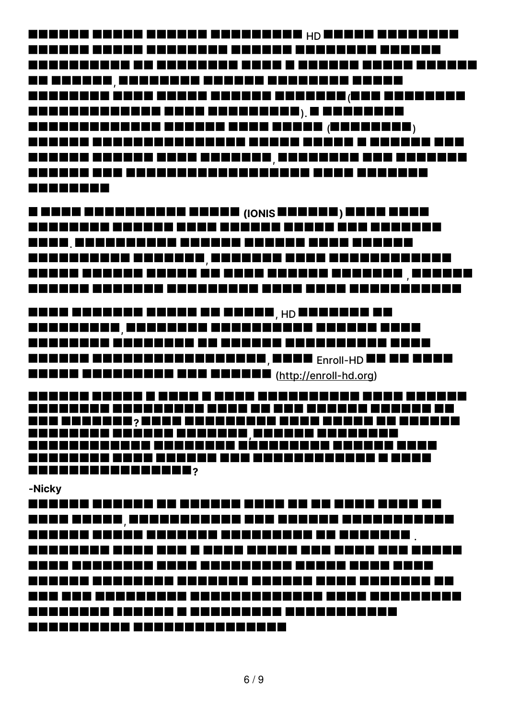HARAHA KANAN KANANA KANANANA <sub>HD</sub> NAHAN KANANANA<br>HARAHA KUNGA KANANANA KANANA HARAHAN KANANA , ( ). ( ) , **BERREER** 

**C RANG BARBERENGE BERKE <sub>(IONIS</sub> RENERS) RENE BERK**<br>RENERBEN BERKEN BERK HENRE BERKE BER KENNENE . <u>AABAABAAD BAABAAD, BEBAADA BAAD BAABAABAADAD</u> ,

<u>anaa aanaana ahaan ah ahaan <sub>, HD</sub> Baanaan ah</u> , <u>annan annsananananana, anno <sub>Enroll</sub> de un anno</u> **CHEER CHEEREN CHEEREN (<http://enroll-hd.org>)** 

**PRE ESERVAL » SERR ENERGEESE BEEK HERRE EN BERKEN , RRANGER BERKER 19** 

**-Nicky**

, . ---------- ----------------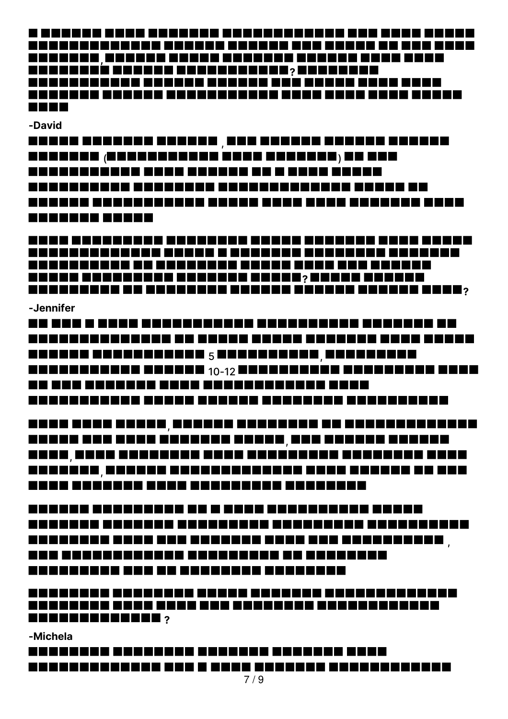**, ?** <u>MUNUMUN KUMUMU KUMUMUHUMU KUMU KUMU KUMU KUMU</u> **THE RE** 

#### **-David**

, <u>ananan (nananananan anan ananana) an ana</u> \_\_\_\_\_\_\_\_\_\_\_\_\_\_\_\_\_\_\_\_\_\_\_\_\_\_\_\_\_\_\_\_\_ -----------

MUNU KUMUMUNG KANAHAN KUMUM KUMUMU KUMU KUMUM <u>MANUMUNUNG AN UNUNGKUN KUNUN KUNU KUN KUNUNGI</u> **PRESE ESTRESESE ESTRESE ESTRE: SERBE ESTRES PERSONAL DE SURBERES DESERT DESERT EN PRES** 2008,

#### **-Jennifer**

<u>NA KAO A KAOMININA MPIANDRA NA MATATA NA MATATIKA NA </u> 5 , 10-12 NU UUU UUUUUUU UUUU UUUUUUUUUUUU UUUU 

, <u>AABAA AAB BAAD BAABAAD AHAAD, BAA AHAADAD BAADAD</u> , ,

, <u>kan kananggang na sang sang ang panggang menghangkan menghangkan menghangkan menghangkan menghangkan menghangkan menghangkan menghangkan menghangkan menghangkan menghangkan menghangkan menghangkan menghangkan menghangkan </u> -------------------------------

**?**

#### **-Michela**

\_\_\_\_\_\_\_\_\_\_\_\_\_\_\_\_\_\_\_\_\_\_\_\_\_\_\_\_\_\_\_\_\_\_\_\_\_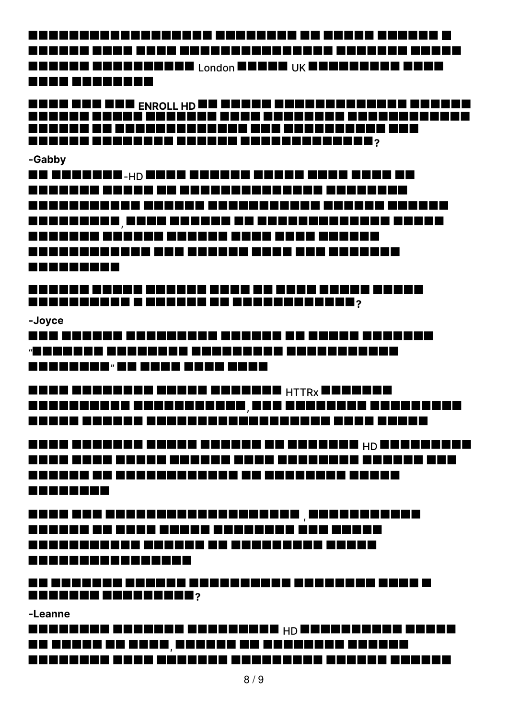ENEREN ENERGENER I <sub>London</sub> Benne, i<sub>jk</sub> bennen den Benn ------------

**ENROLLADE EN PRESIDENTE EN ENERGIA EN ENERGIA EN ENDRE EN ENDRE EN ENDRE EN ENDRE EN ENDRE EN ENDRE EN ENDRE EN**<br>EN ENDRE EN ENDRE EN ENDRE EN EN ENDRE EN ENDRE EN ENDRE EN ENDRE EN ENDRE EN ENDRE EN ENDRE EN ENDRE EN END **PERSON ARRAIGED AND ARRIVED AND RESIST (** 

#### **-Gabby**

EE EEEKEENE.<sub>HD</sub> EEEK EEKEEN EEKEE EEEK EEEK EE , \_\_\_\_\_\_\_\_\_\_\_\_\_\_\_\_\_\_\_\_\_\_\_\_\_\_\_\_\_\_\_\_\_\_\_ -----------------------------------------------

### **PROBERTER E ENERGE DE RESERVEDENT**?

**-Joyce**

<u>kan kanana kanananan kanana na kanan kananan</u> «BOORDE DERDEER BEGEGEGE BEGEGEGEGEG "

HANN HANNENN HANNEN HANNEN HTTRX HANNEN , <u> 2000a - 2000a - 2000a - 2000a - 2000a - 2000a - 2000a</u>

HAND BERKEEN HENER HENERE HE HENERE HO BERKEHENE <u>Manahasi</u>

, <u>MANUHU NU KUMU KUMUH KUMUHUHU KUMUHU</u> \_\_\_\_\_\_\_\_\_\_\_\_\_\_\_\_\_\_\_\_\_\_\_\_\_\_\_\_\_\_\_\_\_\_\_\_ ----------------

<u>na kananan kanana kanananan kanananan kana k</u> **RESERVE BEERS END 2** 

**-Leanne**

HARRAHAN HARRAKA HARRAKAN <sub>HD</sub> BARRAKANAN KANAR <u>ua noseo de seno, escado de escadose especia</u>